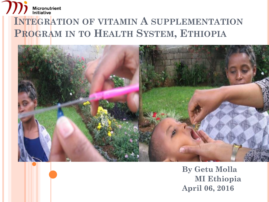#### $\boldsymbol{\mathcal{U}}$ Micronutrient<br>Initiative **INTEGRATION OF VITAMIN A SUPPLEMENTATION PROGRAM IN TO HEALTH SYSTEM, ETHIOPIA**



**By Getu Molla MI Ethiopia April 06, 2016**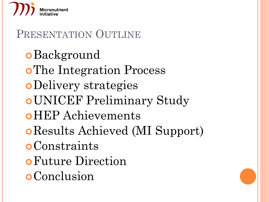

# PRESENTATION OUTLINE **o**Background **o**The Integration Process Delivery strategies UNICEF Preliminary Study HEP Achievements Results Achieved (MI Support) **o**Constraints Future Direction **o**Conclusion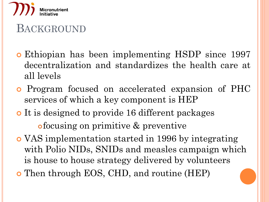

### BACKGROUND

- Ethiopian has been implementing HSDP since 1997 decentralization and standardizes the health care at all levels
- Program focused on accelerated expansion of PHC services of which a key component is HEP
- It is designed to provide 16 different packages focusing on primitive & preventive
- VAS implementation started in 1996 by integrating with Polio NIDs, SNIDs and measles campaign which is house to house strategy delivered by volunteers Then through EOS, CHD, and routine (HEP)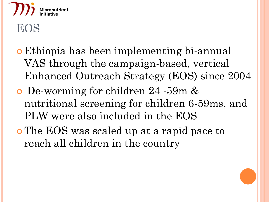

- Ethiopia has been implementing bi-annual VAS through the campaign-based, vertical Enhanced Outreach Strategy (EOS) since 2004
- De-worming for children 24 -59m & nutritional screening for children 6-59ms, and PLW were also included in the EOS
- The EOS was scaled up at a rapid pace to reach all children in the country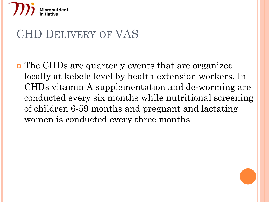

### CHD DELIVERY OF VAS

 The CHDs are quarterly events that are organized locally at kebele level by health extension workers. In CHDs vitamin A supplementation and de-worming are conducted every six months while nutritional screening of children 6-59 months and pregnant and lactating women is conducted every three months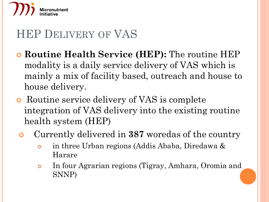

### HEP DELIVERY OF VAS

- **Routine Health Service (HEP):** The routine HEP modality is a daily service delivery of VAS which is mainly a mix of facility based, outreach and house to house delivery.
- Routine service delivery of VAS is complete integration of VAS delivery into the existing routine health system (HEP)
- Currently delivered in **387** woredas of the country
	- in three Urban regions (Addis Ababa, Diredawa & Harare
	- In four Agrarian regions (Tigray, Amhara, Oromia and SNNP)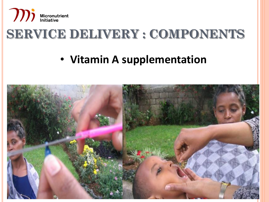

## **SERVICE DELIVERY : COMPONENTS**

### • **Vitamin A supplementation**

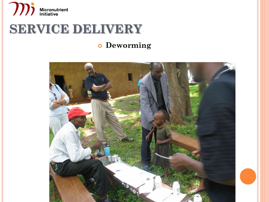

### **SERVICE DELIVERY**

#### **Deworming**

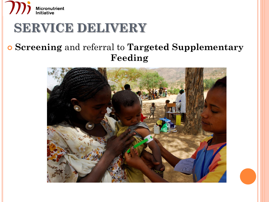

### **SERVICE DELIVERY**

#### **Screening** and referral to **Targeted Supplementary Feeding**

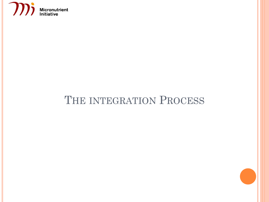

### THE INTEGRATION PROCESS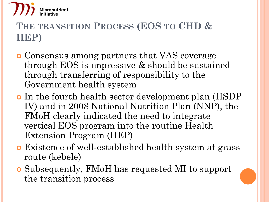

### **THE TRANSITION PROCESS (EOS TO CHD & HEP)**

- Consensus among partners that VAS coverage through EOS is impressive & should be sustained through transferring of responsibility to the Government health system
- o In the fourth health sector development plan (HSDP) IV) and in 2008 National Nutrition Plan (NNP), the FMoH clearly indicated the need to integrate vertical EOS program into the routine Health Extension Program (HEP)
- Existence of well-established health system at grass route (kebele)
- Subsequently, FMoH has requested MI to support the transition process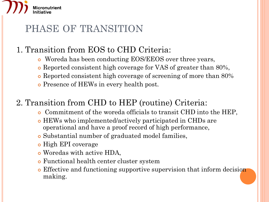# **Micronutrient**

### PHASE OF TRANSITION

#### 1. Transition from EOS to CHD Criteria:

- Woreda has been conducting EOS/EEOS over three years,
- Reported consistent high coverage for VAS of greater than 80%,
- Reported consistent high coverage of screening of more than 80%
- Presence of HEWs in every health post.

#### 2. Transition from CHD to HEP (routine) Criteria:

- Commitment of the woreda officials to transit CHD into the HEP,
- HEWs who implemented/actively participated in CHDs are operational and have a proof record of high performance,
- Substantial number of graduated model families,
- o High EPI coverage
- Woredas with active HDA,
- Functional health center cluster system
- Effective and functioning supportive supervision that inform decision making.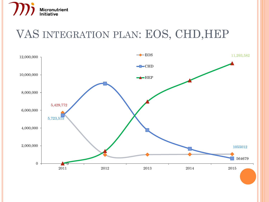

### VAS INTEGRATION PLAN: EOS, CHD,HEP

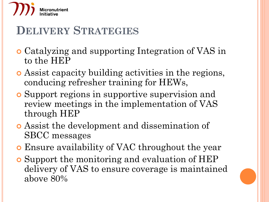

### **DELIVERY STRATEGIES**

- Catalyzing and supporting Integration of VAS in to the HEP
- Assist capacity building activities in the regions, conducing refresher training for HEWs,
- Support regions in supportive supervision and review meetings in the implementation of VAS through HEP
- Assist the development and dissemination of SBCC messages
- Ensure availability of VAC throughout the year
- Support the monitoring and evaluation of HEP delivery of VAS to ensure coverage is maintained above 80%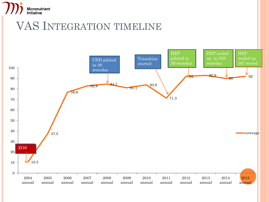

### VAS INTEGRATION TIMELINE

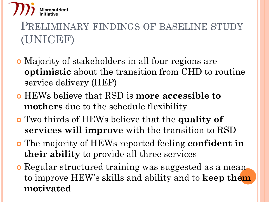

### PRELIMINARY FINDINGS OF BASELINE STUDY (UNICEF)

- Majority of stakeholders in all four regions are **optimistic** about the transition from CHD to routine service delivery (HEP)
- HEWs believe that RSD is **more accessible to mothers** due to the schedule flexibility
- Two thirds of HEWs believe that the **quality of services will improve** with the transition to RSD
- The majority of HEWs reported feeling **confident in their ability** to provide all three services
- **o** Regular structured training was suggested as a meanto improve HEW's skills and ability and to **keep them motivated**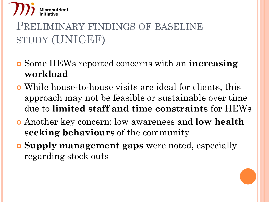

### PRELIMINARY FINDINGS OF BASELINE STUDY (UNICEF)

- Some HEWs reported concerns with an **increasing workload**
- While house-to-house visits are ideal for clients, this approach may not be feasible or sustainable over time due to **limited staff and time constraints** for HEWs
- Another key concern: low awareness and **low health seeking behaviours** of the community
- **Supply management gaps** were noted, especially regarding stock outs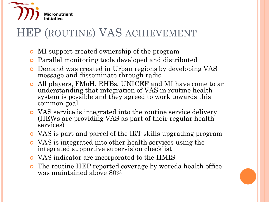

### HEP (ROUTINE) VAS ACHIEVEMENT

- MI support created ownership of the program
- Parallel monitoring tools developed and distributed
- Demand was created in Urban regions by developing VAS message and disseminate through radio
- All players, FMoH, RHBs, UNICEF and MI have come to an understanding that integration of VAS in routine health system is possible and they agreed to work towards this common goal
- VAS service is integrated into the routine service delivery (HEWs are providing VAS as part of their regular health services)
- VAS is part and parcel of the IRT skills upgrading program
- VAS is integrated into other health services using the integrated supportive supervision checklist
- VAS indicator are incorporated to the HMIS
- The routine HEP reported coverage by woreda health office was maintained above 80%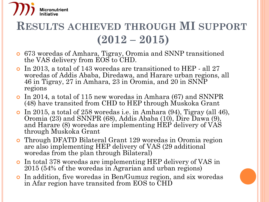

### **RESULTS ACHIEVED THROUGH MI SUPPORT (2012 – 2015)**

- 673 woredas of Amhara, Tigray, Oromia and SNNP transitioned the VAS delivery from EOS to CHD.
- In 2013, a total of 143 woredas are transitioned to HEP *-* all 27 woredas of Addis Ababa, Diredawa, and Harare urban regions, all 46 in Tigray, 27 in Amhara, 23 in Oromia, and 20 in SNNP regions
- In 2014, a total of 115 new woredas in Amhara (67) and SNNPR (48) have transited from CHD to HEP through Muskoka Grant
- In 2015, a total of 258 woredas i.e. in Amhara (94), Tigray (all 46), Oromia (23) and SNNPR (68), Addis Ababa (10), Dire Dawa (9), and Harare  $(8)$  woredas are implementing HEP delivery of  $VAS$ through Muskoka Grant
- Through DFATD Bilateral Grant 129 woredas in Oromia region are also implementing HEP delivery of VAS (29 additional woredas from the plan through Bilateral)
- In total 378 woredas are implementing HEP delivery of VAS in 2015 (54% of the woredas in Agrarian and urban regions)
- In addition, five woredas in Ben/Gumuz region, and six woredas in Afar region have transited from EOS to CHD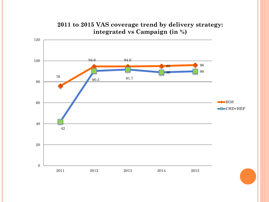

#### **2011 to 2015 VAS coverage trend by delivery strategy: integrated vs Campaign (in %)**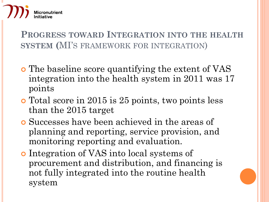

**PROGRESS TOWARD INTEGRATION INTO THE HEALTH SYSTEM (**MI'S FRAMEWORK FOR INTEGRATION)

- The baseline score quantifying the extent of VAS integration into the health system in 2011 was 17 points
- Total score in 2015 is 25 points, two points less than the 2015 target
- Successes have been achieved in the areas of planning and reporting, service provision, and monitoring reporting and evaluation.
- Integration of VAS into local systems of procurement and distribution, and financing is not fully integrated into the routine health system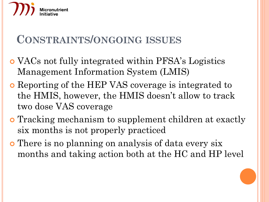

### **CONSTRAINTS/ONGOING ISSUES**

- VACs not fully integrated within PFSA's Logistics Management Information System (LMIS)
- Reporting of the HEP VAS coverage is integrated to the HMIS, however, the HMIS doesn't allow to track two dose VAS coverage
- Tracking mechanism to supplement children at exactly six months is not properly practiced
- There is no planning on analysis of data every six months and taking action both at the HC and HP level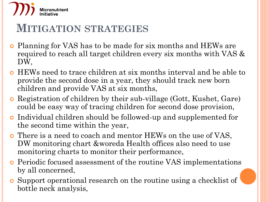

### **MITIGATION STRATEGIES**

- Planning for VAS has to be made for six months and HEWs are required to reach all target children every six months with VAS & DW,
- HEWs need to trace children at six months interval and be able to provide the second dose in a year, they should track new born children and provide VAS at six months,
- Registration of children by their sub-village (Gott, Kushet, Gare) could be easy way of tracing children for second dose provision,
- Individual children should be followed-up and supplemented for the second time within the year,
- There is a need to coach and mentor HEWs on the use of VAS, DW monitoring chart &woreda Health offices also need to use monitoring charts to monitor their performance,
- Periodic focused assessment of the routine VAS implementations by all concerned,
- Support operational research on the routine using a checklist of bottle neck analysis,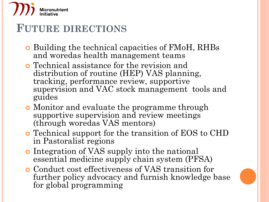

### **FUTURE DIRECTIONS**

- Building the technical capacities of FMoH, RHBs and woredas health management teams
- Technical assistance for the revision and distribution of routine (HEP) VAS planning, tracking, performance review, supportive supervision and VAC stock management tools and guides
- Monitor and evaluate the programme through supportive supervision and review meetings (through woredas VAS mentors)
- Technical support for the transition of EOS to CHD in Pastoralist regions
- **•** Integration of VAS supply into the national essential medicine supply chain system (PFSA)
- Conduct cost effectiveness of VAS transition for further policy advocacy and furnish knowledge base for global programming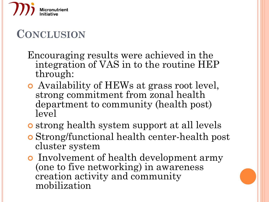

### **CONCLUSION**

Encouraging results were achieved in the integration of VAS in to the routine HEP through:

- Availability of HEWs at grass root level, strong commitment from zonal health department to community (health post) level
- strong health system support at all levels
- Strong/functional health center-health post cluster system
- **•** Involvement of health development army (one to five networking) in awareness creation activity and community mobilization